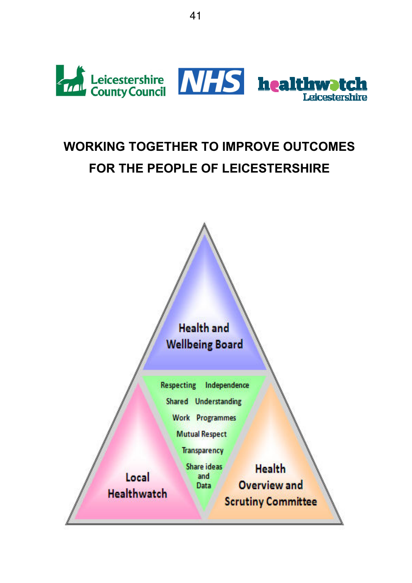

# WORKING TOGETHER TO IMPROVE OUTCOMES FOR THE PEOPLE OF LEICESTERSHIRE

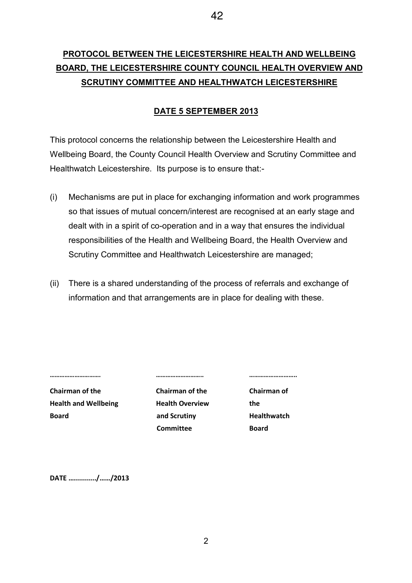# PROTOCOL BETWEEN THE LEICESTERSHIRE HEALTH AND WELLBEING BOARD, THE LEICESTERSHIRE COUNTY COUNCIL HEALTH OVERVIEW AND SCRUTINY COMMITTEE AND HEALTHWATCH LEICESTERSHIRE

### DATE 5 SEPTEMBER 2013

This protocol concerns the relationship between the Leicestershire Health and Wellbeing Board, the County Council Health Overview and Scrutiny Committee and Healthwatch Leicestershire. Its purpose is to ensure that:-

- (i) Mechanisms are put in place for exchanging information and work programmes so that issues of mutual concern/interest are recognised at an early stage and dealt with in a spirit of co-operation and in a way that ensures the individual responsibilities of the Health and Wellbeing Board, the Health Overview and Scrutiny Committee and Healthwatch Leicestershire are managed;
- (ii) There is a shared understanding of the process of referrals and exchange of information and that arrangements are in place for dealing with these.

Chairman of the Chairman of the Chairman of Health and Wellbeing **Health Overview** the Board **Board and Scrutiny Healthwatch** 

Committee Board

…………………………. ……………………….. ………………………..

DATE ….........../……/2013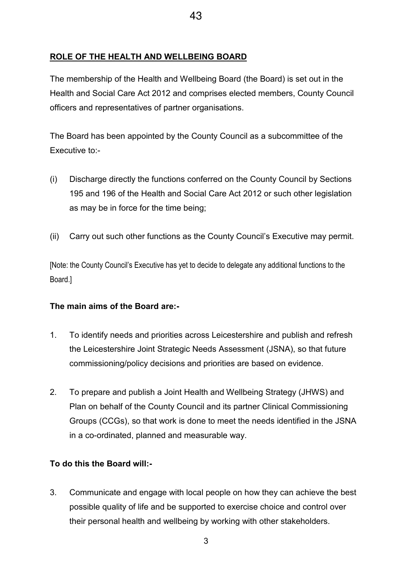### ROLE OF THE HEALTH AND WELLBEING BOARD

The membership of the Health and Wellbeing Board (the Board) is set out in the Health and Social Care Act 2012 and comprises elected members, County Council officers and representatives of partner organisations.

The Board has been appointed by the County Council as a subcommittee of the Executive to:-

- (i) Discharge directly the functions conferred on the County Council by Sections 195 and 196 of the Health and Social Care Act 2012 or such other legislation as may be in force for the time being;
- (ii) Carry out such other functions as the County Council's Executive may permit.

[Note: the County Council's Executive has yet to decide to delegate any additional functions to the Board.]

#### The main aims of the Board are:-

- 1. To identify needs and priorities across Leicestershire and publish and refresh the Leicestershire Joint Strategic Needs Assessment (JSNA), so that future commissioning/policy decisions and priorities are based on evidence.
- 2. To prepare and publish a Joint Health and Wellbeing Strategy (JHWS) and Plan on behalf of the County Council and its partner Clinical Commissioning Groups (CCGs), so that work is done to meet the needs identified in the JSNA in a co-ordinated, planned and measurable way.

#### To do this the Board will:-

3. Communicate and engage with local people on how they can achieve the best possible quality of life and be supported to exercise choice and control over their personal health and wellbeing by working with other stakeholders.

3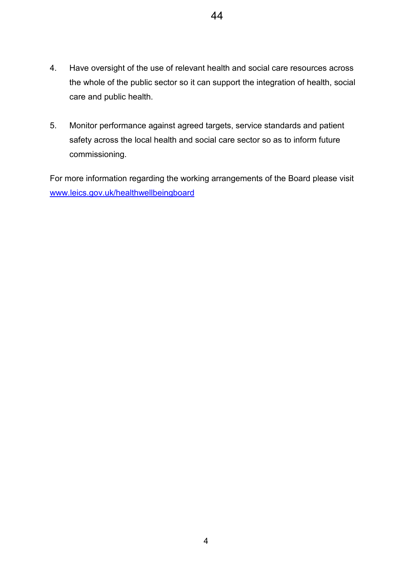- 4. Have oversight of the use of relevant health and social care resources across the whole of the public sector so it can support the integration of health, social care and public health.
- 5. Monitor performance against agreed targets, service standards and patient safety across the local health and social care sector so as to inform future commissioning.

For more information regarding the working arrangements of the Board please visit www.leics.gov.uk/healthwellbeingboard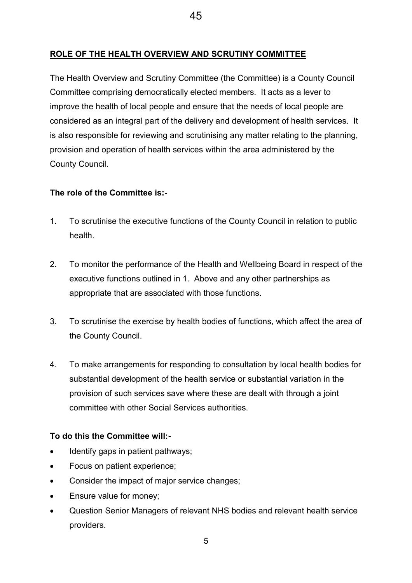## ROLE OF THE HEALTH OVERVIEW AND SCRUTINY COMMITTEE

The Health Overview and Scrutiny Committee (the Committee) is a County Council Committee comprising democratically elected members. It acts as a lever to improve the health of local people and ensure that the needs of local people are considered as an integral part of the delivery and development of health services. It is also responsible for reviewing and scrutinising any matter relating to the planning, provision and operation of health services within the area administered by the County Council.

#### The role of the Committee is:-

- 1. To scrutinise the executive functions of the County Council in relation to public health.
- 2. To monitor the performance of the Health and Wellbeing Board in respect of the executive functions outlined in 1. Above and any other partnerships as appropriate that are associated with those functions.
- 3. To scrutinise the exercise by health bodies of functions, which affect the area of the County Council.
- 4. To make arrangements for responding to consultation by local health bodies for substantial development of the health service or substantial variation in the provision of such services save where these are dealt with through a joint committee with other Social Services authorities.

### To do this the Committee will:-

- Identify gaps in patient pathways;
- Focus on patient experience:
- Consider the impact of major service changes;
- Ensure value for money;
- Question Senior Managers of relevant NHS bodies and relevant health service providers.

45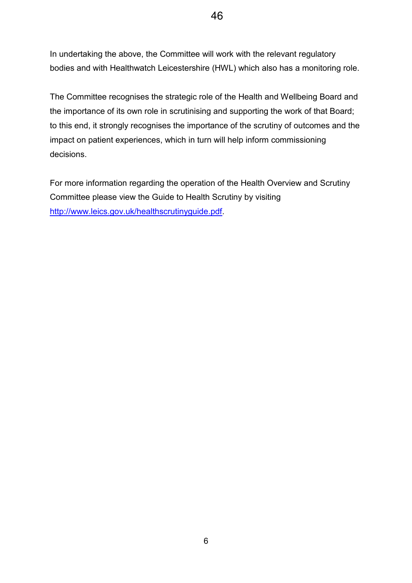In undertaking the above, the Committee will work with the relevant regulatory bodies and with Healthwatch Leicestershire (HWL) which also has a monitoring role.

The Committee recognises the strategic role of the Health and Wellbeing Board and the importance of its own role in scrutinising and supporting the work of that Board; to this end, it strongly recognises the importance of the scrutiny of outcomes and the impact on patient experiences, which in turn will help inform commissioning decisions.

For more information regarding the operation of the Health Overview and Scrutiny Committee please view the Guide to Health Scrutiny by visiting http://www.leics.gov.uk/healthscrutinyguide.pdf.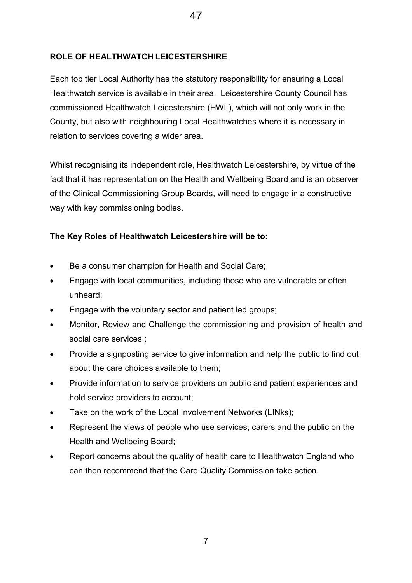## ROLE OF HEALTHWATCH LEICESTERSHIRE

Each top tier Local Authority has the statutory responsibility for ensuring a Local Healthwatch service is available in their area. Leicestershire County Council has commissioned Healthwatch Leicestershire (HWL), which will not only work in the County, but also with neighbouring Local Healthwatches where it is necessary in relation to services covering a wider area.

Whilst recognising its independent role, Healthwatch Leicestershire, by virtue of the fact that it has representation on the Health and Wellbeing Board and is an observer of the Clinical Commissioning Group Boards, will need to engage in a constructive way with key commissioning bodies.

### The Key Roles of Healthwatch Leicestershire will be to:

- Be a consumer champion for Health and Social Care;
- Engage with local communities, including those who are vulnerable or often unheard;
- Engage with the voluntary sector and patient led groups;
- Monitor, Review and Challenge the commissioning and provision of health and social care services ;
- Provide a signposting service to give information and help the public to find out about the care choices available to them;
- Provide information to service providers on public and patient experiences and hold service providers to account;
- Take on the work of the Local Involvement Networks (LINks);
- Represent the views of people who use services, carers and the public on the Health and Wellbeing Board;
- Report concerns about the quality of health care to Healthwatch England who can then recommend that the Care Quality Commission take action.

7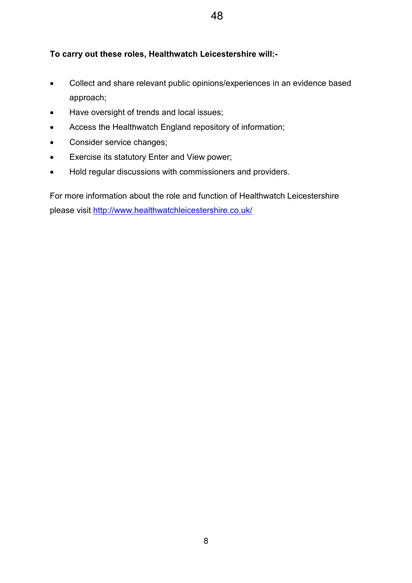## To carry out these roles, Healthwatch Leicestershire will:-

- Collect and share relevant public opinions/experiences in an evidence based approach;
- Have oversight of trends and local issues;
- Access the Healthwatch England repository of information;
- Consider service changes;
- Exercise its statutory Enter and View power;
- Hold regular discussions with commissioners and providers.

For more information about the role and function of Healthwatch Leicestershire please visit http://www.healthwatchleicestershire.co.uk/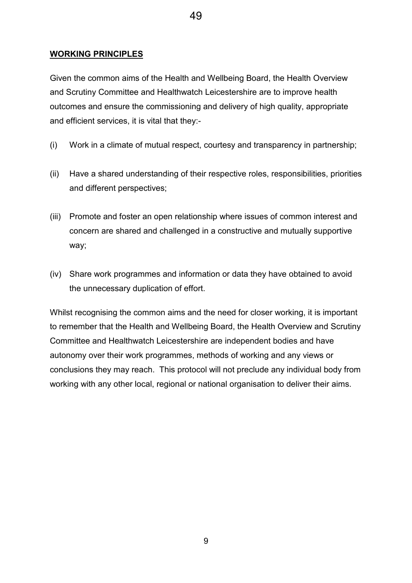Given the common aims of the Health and Wellbeing Board, the Health Overview and Scrutiny Committee and Healthwatch Leicestershire are to improve health outcomes and ensure the commissioning and delivery of high quality, appropriate and efficient services, it is vital that they:-

49

- (i) Work in a climate of mutual respect, courtesy and transparency in partnership;
- (ii) Have a shared understanding of their respective roles, responsibilities, priorities and different perspectives;
- (iii) Promote and foster an open relationship where issues of common interest and concern are shared and challenged in a constructive and mutually supportive way;
- (iv) Share work programmes and information or data they have obtained to avoid the unnecessary duplication of effort.

Whilst recognising the common aims and the need for closer working, it is important to remember that the Health and Wellbeing Board, the Health Overview and Scrutiny Committee and Healthwatch Leicestershire are independent bodies and have autonomy over their work programmes, methods of working and any views or conclusions they may reach. This protocol will not preclude any individual body from working with any other local, regional or national organisation to deliver their aims.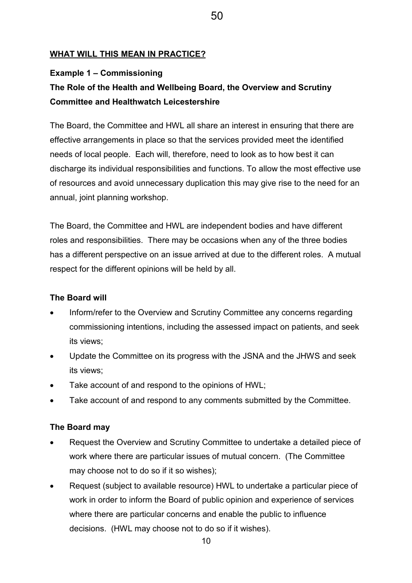#### WHAT WILL THIS MEAN IN PRACTICE?

#### Example 1 – Commissioning

## The Role of the Health and Wellbeing Board, the Overview and Scrutiny Committee and Healthwatch Leicestershire

The Board, the Committee and HWL all share an interest in ensuring that there are effective arrangements in place so that the services provided meet the identified needs of local people. Each will, therefore, need to look as to how best it can discharge its individual responsibilities and functions. To allow the most effective use of resources and avoid unnecessary duplication this may give rise to the need for an annual, joint planning workshop.

The Board, the Committee and HWL are independent bodies and have different roles and responsibilities. There may be occasions when any of the three bodies has a different perspective on an issue arrived at due to the different roles. A mutual respect for the different opinions will be held by all.

#### The Board will

- Inform/refer to the Overview and Scrutiny Committee any concerns regarding commissioning intentions, including the assessed impact on patients, and seek its views;
- Update the Committee on its progress with the JSNA and the JHWS and seek its views;
- Take account of and respond to the opinions of HWL;
- Take account of and respond to any comments submitted by the Committee.

#### The Board may

- Request the Overview and Scrutiny Committee to undertake a detailed piece of work where there are particular issues of mutual concern. (The Committee may choose not to do so if it so wishes);
- Request (subject to available resource) HWL to undertake a particular piece of work in order to inform the Board of public opinion and experience of services where there are particular concerns and enable the public to influence decisions. (HWL may choose not to do so if it wishes).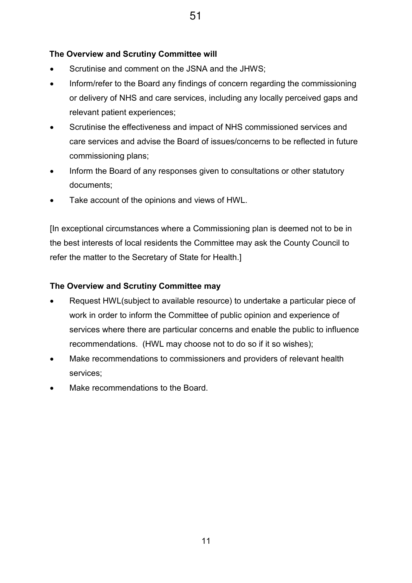## The Overview and Scrutiny Committee will

- Scrutinise and comment on the JSNA and the JHWS;
- Inform/refer to the Board any findings of concern regarding the commissioning or delivery of NHS and care services, including any locally perceived gaps and relevant patient experiences;
- Scrutinise the effectiveness and impact of NHS commissioned services and care services and advise the Board of issues/concerns to be reflected in future commissioning plans;
- Inform the Board of any responses given to consultations or other statutory documents;
- Take account of the opinions and views of HWL.

[In exceptional circumstances where a Commissioning plan is deemed not to be in the best interests of local residents the Committee may ask the County Council to refer the matter to the Secretary of State for Health.]

## The Overview and Scrutiny Committee may

- Request HWL(subject to available resource) to undertake a particular piece of work in order to inform the Committee of public opinion and experience of services where there are particular concerns and enable the public to influence recommendations. (HWL may choose not to do so if it so wishes);
- Make recommendations to commissioners and providers of relevant health services;
- Make recommendations to the Board.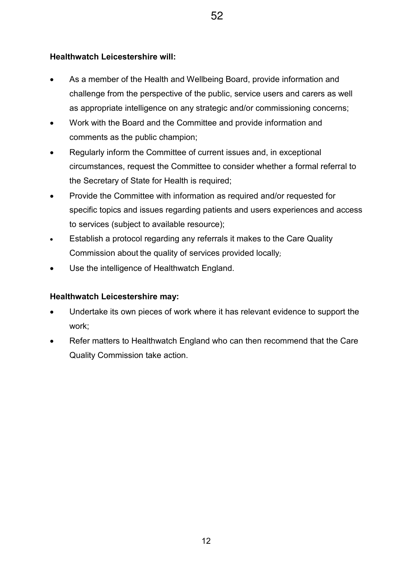### Healthwatch Leicestershire will:

- As a member of the Health and Wellbeing Board, provide information and challenge from the perspective of the public, service users and carers as well as appropriate intelligence on any strategic and/or commissioning concerns;
- Work with the Board and the Committee and provide information and comments as the public champion;
- Regularly inform the Committee of current issues and, in exceptional circumstances, request the Committee to consider whether a formal referral to the Secretary of State for Health is required;
- Provide the Committee with information as required and/or requested for specific topics and issues regarding patients and users experiences and access to services (subject to available resource);
- Establish a protocol regarding any referrals it makes to the Care Quality Commission about the quality of services provided locally;
- Use the intelligence of Healthwatch England.

### Healthwatch Leicestershire may:

- Undertake its own pieces of work where it has relevant evidence to support the work;
- Refer matters to Healthwatch England who can then recommend that the Care Quality Commission take action.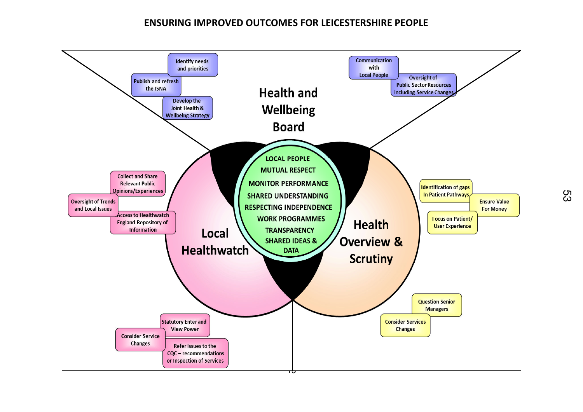## ENSURING IMPROVED OUTCOMES FOR LEICESTERSHIRE PEOPLE

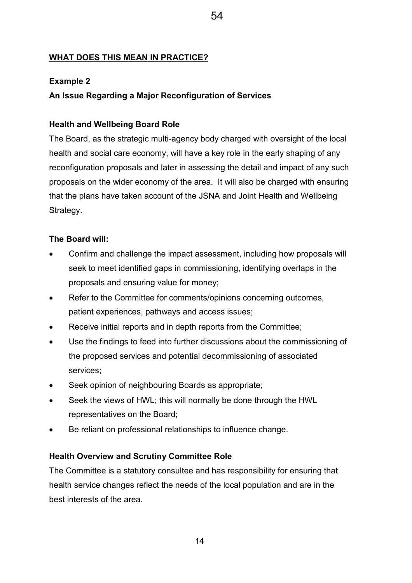### WHAT DOES THIS MEAN IN PRACTICE?

### Example 2

### An Issue Regarding a Major Reconfiguration of Services

#### Health and Wellbeing Board Role

The Board, as the strategic multi-agency body charged with oversight of the local health and social care economy, will have a key role in the early shaping of any reconfiguration proposals and later in assessing the detail and impact of any such proposals on the wider economy of the area. It will also be charged with ensuring that the plans have taken account of the JSNA and Joint Health and Wellbeing Strategy.

54

#### The Board will:

- Confirm and challenge the impact assessment, including how proposals will seek to meet identified gaps in commissioning, identifying overlaps in the proposals and ensuring value for money;
- Refer to the Committee for comments/opinions concerning outcomes, patient experiences, pathways and access issues;
- Receive initial reports and in depth reports from the Committee;
- Use the findings to feed into further discussions about the commissioning of the proposed services and potential decommissioning of associated services;
- Seek opinion of neighbouring Boards as appropriate;
- Seek the views of HWL; this will normally be done through the HWL representatives on the Board;
- Be reliant on professional relationships to influence change.

#### Health Overview and Scrutiny Committee Role

The Committee is a statutory consultee and has responsibility for ensuring that health service changes reflect the needs of the local population and are in the best interests of the area.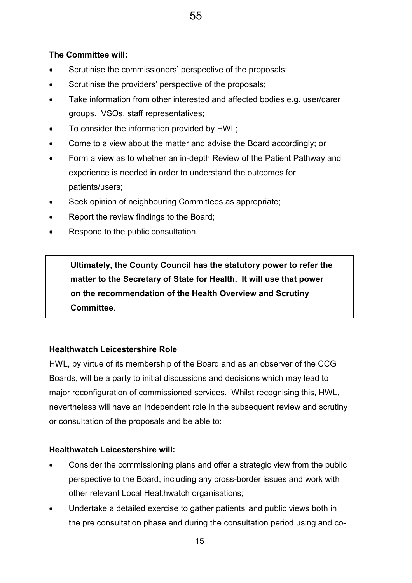## The Committee will:

- Scrutinise the commissioners' perspective of the proposals;
- Scrutinise the providers' perspective of the proposals;
- Take information from other interested and affected bodies e.g. user/carer groups. VSOs, staff representatives;
- To consider the information provided by HWL;
- Come to a view about the matter and advise the Board accordingly; or
- Form a view as to whether an in-depth Review of the Patient Pathway and experience is needed in order to understand the outcomes for patients/users;
- Seek opinion of neighbouring Committees as appropriate;
- Report the review findings to the Board;
- Respond to the public consultation.

Ultimately, the County Council has the statutory power to refer the matter to the Secretary of State for Health. It will use that power on the recommendation of the Health Overview and Scrutiny Committee.

## Healthwatch Leicestershire Role

HWL, by virtue of its membership of the Board and as an observer of the CCG Boards, will be a party to initial discussions and decisions which may lead to major reconfiguration of commissioned services. Whilst recognising this, HWL, nevertheless will have an independent role in the subsequent review and scrutiny or consultation of the proposals and be able to:

## Healthwatch Leicestershire will:

- Consider the commissioning plans and offer a strategic view from the public perspective to the Board, including any cross-border issues and work with other relevant Local Healthwatch organisations;
- Undertake a detailed exercise to gather patients' and public views both in the pre consultation phase and during the consultation period using and co-